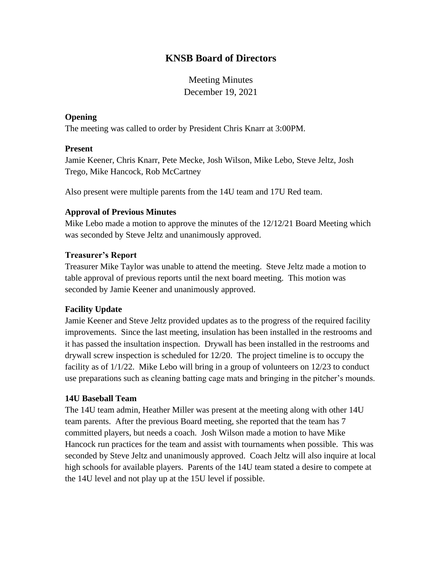# **KNSB Board of Directors**

Meeting Minutes December 19, 2021

### **Opening**

The meeting was called to order by President Chris Knarr at 3:00PM.

### **Present**

Jamie Keener, Chris Knarr, Pete Mecke, Josh Wilson, Mike Lebo, Steve Jeltz, Josh Trego, Mike Hancock, Rob McCartney

Also present were multiple parents from the 14U team and 17U Red team.

# **Approval of Previous Minutes**

Mike Lebo made a motion to approve the minutes of the 12/12/21 Board Meeting which was seconded by Steve Jeltz and unanimously approved.

### **Treasurer's Report**

Treasurer Mike Taylor was unable to attend the meeting. Steve Jeltz made a motion to table approval of previous reports until the next board meeting. This motion was seconded by Jamie Keener and unanimously approved.

# **Facility Update**

Jamie Keener and Steve Jeltz provided updates as to the progress of the required facility improvements. Since the last meeting, insulation has been installed in the restrooms and it has passed the insultation inspection. Drywall has been installed in the restrooms and drywall screw inspection is scheduled for 12/20. The project timeline is to occupy the facility as of 1/1/22. Mike Lebo will bring in a group of volunteers on 12/23 to conduct use preparations such as cleaning batting cage mats and bringing in the pitcher's mounds.

#### **14U Baseball Team**

The 14U team admin, Heather Miller was present at the meeting along with other 14U team parents. After the previous Board meeting, she reported that the team has 7 committed players, but needs a coach. Josh Wilson made a motion to have Mike Hancock run practices for the team and assist with tournaments when possible. This was seconded by Steve Jeltz and unanimously approved. Coach Jeltz will also inquire at local high schools for available players. Parents of the 14U team stated a desire to compete at the 14U level and not play up at the 15U level if possible.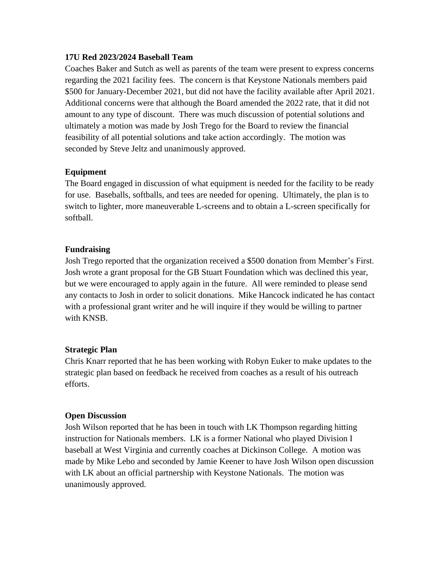#### **17U Red 2023/2024 Baseball Team**

Coaches Baker and Sutch as well as parents of the team were present to express concerns regarding the 2021 facility fees. The concern is that Keystone Nationals members paid \$500 for January-December 2021, but did not have the facility available after April 2021. Additional concerns were that although the Board amended the 2022 rate, that it did not amount to any type of discount. There was much discussion of potential solutions and ultimately a motion was made by Josh Trego for the Board to review the financial feasibility of all potential solutions and take action accordingly. The motion was seconded by Steve Jeltz and unanimously approved.

# **Equipment**

The Board engaged in discussion of what equipment is needed for the facility to be ready for use. Baseballs, softballs, and tees are needed for opening. Ultimately, the plan is to switch to lighter, more maneuverable L-screens and to obtain a L-screen specifically for softball.

### **Fundraising**

Josh Trego reported that the organization received a \$500 donation from Member's First. Josh wrote a grant proposal for the GB Stuart Foundation which was declined this year, but we were encouraged to apply again in the future. All were reminded to please send any contacts to Josh in order to solicit donations. Mike Hancock indicated he has contact with a professional grant writer and he will inquire if they would be willing to partner with KNSB.

#### **Strategic Plan**

Chris Knarr reported that he has been working with Robyn Euker to make updates to the strategic plan based on feedback he received from coaches as a result of his outreach efforts.

# **Open Discussion**

Josh Wilson reported that he has been in touch with LK Thompson regarding hitting instruction for Nationals members. LK is a former National who played Division I baseball at West Virginia and currently coaches at Dickinson College. A motion was made by Mike Lebo and seconded by Jamie Keener to have Josh Wilson open discussion with LK about an official partnership with Keystone Nationals. The motion was unanimously approved.